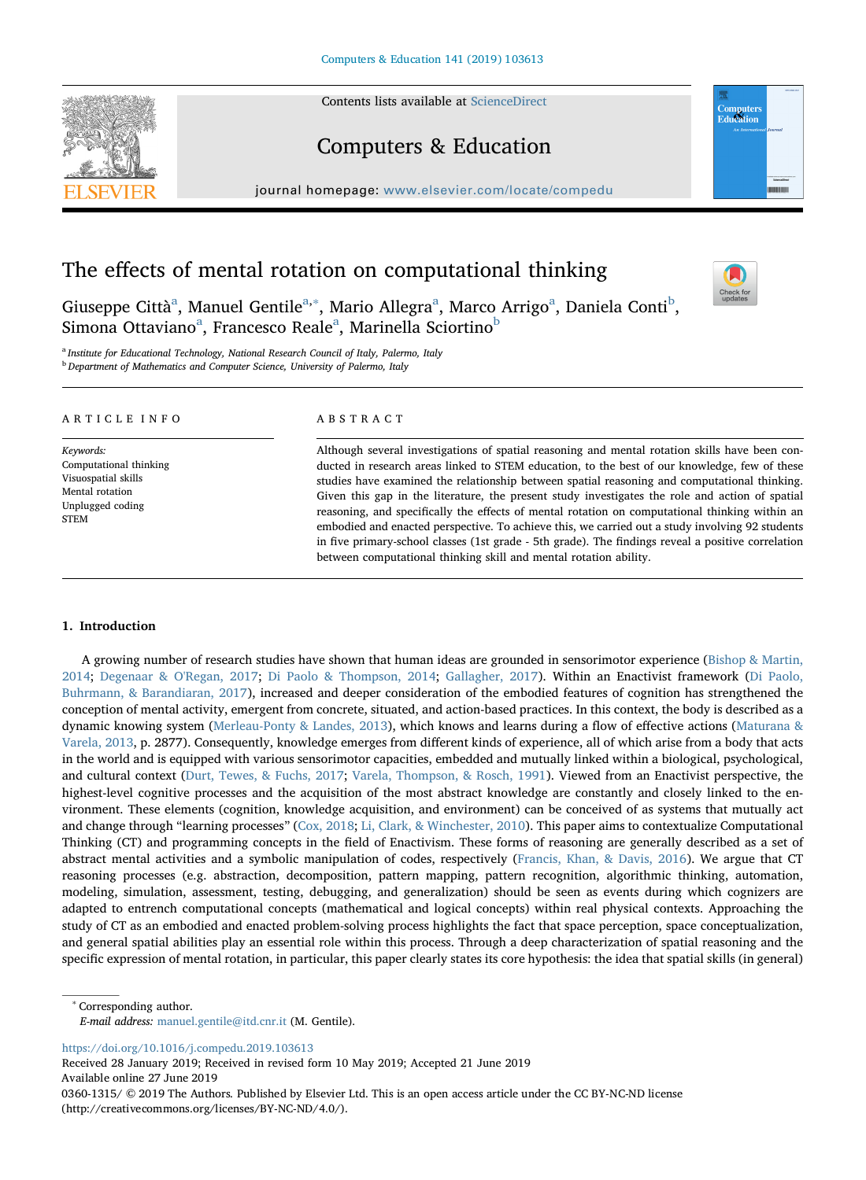Contents lists available at [ScienceDirect](http://www.sciencedirect.com/science/journal/03601315)



# Computers & Education

journal homepage: [www.elsevier.com/locate/compedu](https://www.elsevier.com/locate/compedu)



# The effects of mental rotation on computational thinking

Giuseppe Città<sup>[a](#page-0-0)</sup>, Manuel Gentile<sup>a,\*</sup>, Mario Allegra<sup>a</sup>, Marco Arrigo<sup>a</sup>, Daniela Conti<sup>[b](#page-0-2)</sup>, Simon[a](#page-0-0) Ottaviano<sup>a</sup>, Francesco Reale<sup>a</sup>, Marinella Sciortino<sup>[b](#page-0-2)</sup>



<span id="page-0-2"></span><span id="page-0-0"></span><sup>a</sup> Institute for Educational Technology, National Research Council of Italy, Palermo, Italy <sup>b</sup> Department of Mathematics and Computer Science, University of Palermo, Italy

## ARTICLE INFO

Keywords: Computational thinking Visuospatial skills Mental rotation Unplugged coding **STEM** 

# ABSTRACT

Although several investigations of spatial reasoning and mental rotation skills have been conducted in research areas linked to STEM education, to the best of our knowledge, few of these studies have examined the relationship between spatial reasoning and computational thinking. Given this gap in the literature, the present study investigates the role and action of spatial reasoning, and specifically the effects of mental rotation on computational thinking within an embodied and enacted perspective. To achieve this, we carried out a study involving 92 students in five primary-school classes (1st grade - 5th grade). The findings reveal a positive correlation between computational thinking skill and mental rotation ability.

# 1. Introduction

A growing number of research studies have shown that human ideas are grounded in sensorimotor experience [\(Bishop & Martin,](#page-9-0) [2014;](#page-9-0) [Degenaar & O'Regan, 2017;](#page-9-1) [Di Paolo & Thompson, 2014](#page-9-2); [Gallagher, 2017\)](#page-9-3). Within an Enactivist framework ([Di Paolo,](#page-9-4) [Buhrmann, & Barandiaran, 2017\)](#page-9-4), increased and deeper consideration of the embodied features of cognition has strengthened the conception of mental activity, emergent from concrete, situated, and action-based practices. In this context, the body is described as a dynamic knowing system [\(Merleau-Ponty & Landes, 2013\)](#page-10-0), which knows and learns during a flow of effective actions [\(Maturana &](#page-10-1) [Varela, 2013](#page-10-1), p. 2877). Consequently, knowledge emerges from different kinds of experience, all of which arise from a body that acts in the world and is equipped with various sensorimotor capacities, embedded and mutually linked within a biological, psychological, and cultural context ([Durt, Tewes, & Fuchs, 2017](#page-9-5); [Varela, Thompson, & Rosch, 1991\)](#page-10-2). Viewed from an Enactivist perspective, the highest-level cognitive processes and the acquisition of the most abstract knowledge are constantly and closely linked to the environment. These elements (cognition, knowledge acquisition, and environment) can be conceived of as systems that mutually act and change through "learning processes" [\(Cox, 2018;](#page-9-6) [Li, Clark, & Winchester, 2010](#page-10-3)). This paper aims to contextualize Computational Thinking (CT) and programming concepts in the field of Enactivism. These forms of reasoning are generally described as a set of abstract mental activities and a symbolic manipulation of codes, respectively ([Francis, Khan, & Davis, 2016\)](#page-9-7). We argue that CT reasoning processes (e.g. abstraction, decomposition, pattern mapping, pattern recognition, algorithmic thinking, automation, modeling, simulation, assessment, testing, debugging, and generalization) should be seen as events during which cognizers are adapted to entrench computational concepts (mathematical and logical concepts) within real physical contexts. Approaching the study of CT as an embodied and enacted problem-solving process highlights the fact that space perception, space conceptualization, and general spatial abilities play an essential role within this process. Through a deep characterization of spatial reasoning and the specific expression of mental rotation, in particular, this paper clearly states its core hypothesis: the idea that spatial skills (in general)

<span id="page-0-1"></span>Corresponding author. E-mail address: [manuel.gentile@itd.cnr.it](mailto:manuel.gentile@itd.cnr.it) (M. Gentile).

<https://doi.org/10.1016/j.compedu.2019.103613>

Received 28 January 2019; Received in revised form 10 May 2019; Accepted 21 June 2019 Available online 27 June 2019

0360-1315/ © 2019 The Authors. Published by Elsevier Ltd. This is an open access article under the CC BY-NC-ND license (http://creativecommons.org/licenses/BY-NC-ND/4.0/).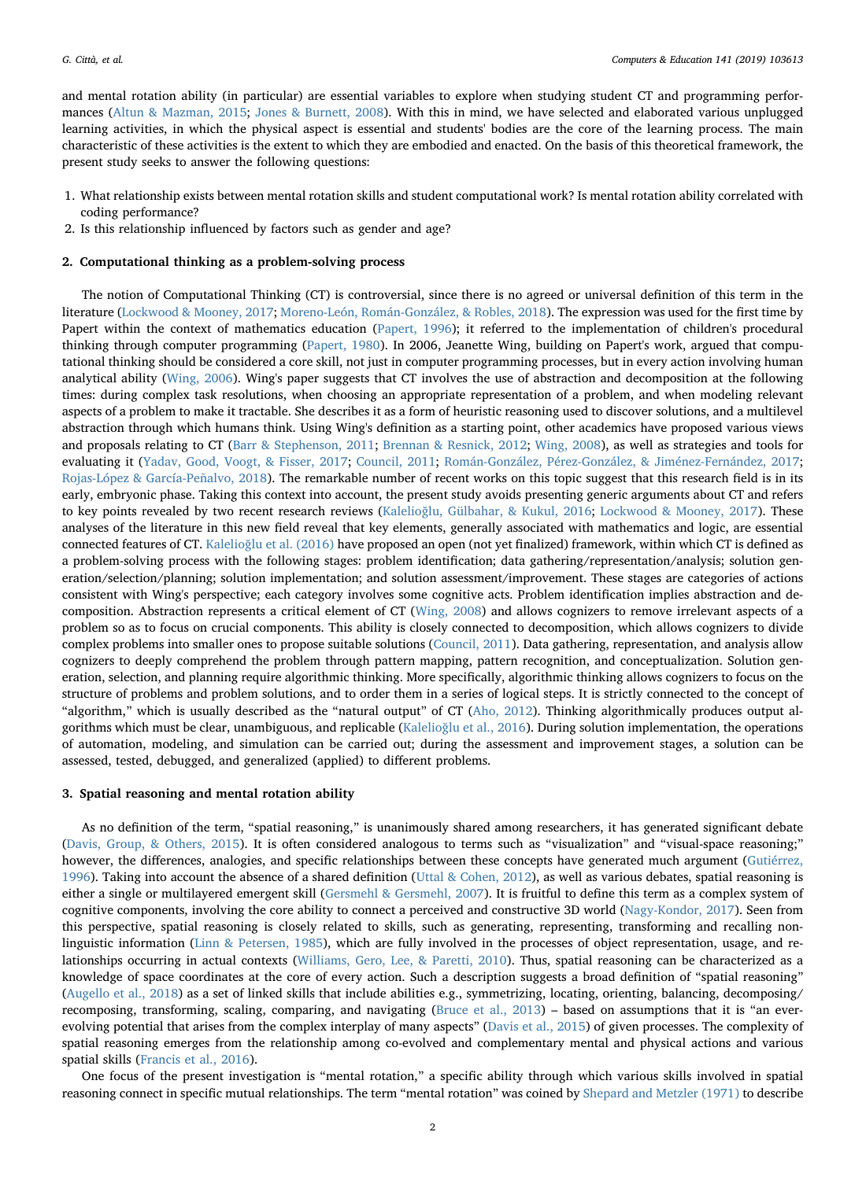and mental rotation ability (in particular) are essential variables to explore when studying student CT and programming performances [\(Altun & Mazman, 2015](#page-9-8); [Jones & Burnett, 2008](#page-9-9)). With this in mind, we have selected and elaborated various unplugged learning activities, in which the physical aspect is essential and students' bodies are the core of the learning process. The main characteristic of these activities is the extent to which they are embodied and enacted. On the basis of this theoretical framework, the present study seeks to answer the following questions:

- 1. What relationship exists between mental rotation skills and student computational work? Is mental rotation ability correlated with coding performance?
- 2. Is this relationship influenced by factors such as gender and age?

### 2. Computational thinking as a problem-solving process

The notion of Computational Thinking (CT) is controversial, since there is no agreed or universal definition of this term in the literature ([Lockwood & Mooney, 2017](#page-10-4); [Moreno-León, Román-González, & Robles, 2018\)](#page-10-5). The expression was used for the first time by Papert within the context of mathematics education [\(Papert, 1996](#page-10-6)); it referred to the implementation of children's procedural thinking through computer programming [\(Papert, 1980](#page-10-7)). In 2006, Jeanette Wing, building on Papert's work, argued that computational thinking should be considered a core skill, not just in computer programming processes, but in every action involving human analytical ability ([Wing, 2006](#page-10-8)). Wing's paper suggests that CT involves the use of abstraction and decomposition at the following times: during complex task resolutions, when choosing an appropriate representation of a problem, and when modeling relevant aspects of a problem to make it tractable. She describes it as a form of heuristic reasoning used to discover solutions, and a multilevel abstraction through which humans think. Using Wing's definition as a starting point, other academics have proposed various views and proposals relating to CT [\(Barr & Stephenson, 2011;](#page-9-10) [Brennan & Resnick, 2012](#page-9-11); [Wing, 2008\)](#page-10-9), as well as strategies and tools for evaluating it [\(Yadav, Good, Voogt, & Fisser, 2017;](#page-10-10) [Council, 2011](#page-9-12); [Román-González, Pérez-González, & Jiménez-Fernández, 2017;](#page-10-11) [Rojas-López & García-Peñalvo, 2018](#page-10-12)). The remarkable number of recent works on this topic suggest that this research field is in its early, embryonic phase. Taking this context into account, the present study avoids presenting generic arguments about CT and refers to key points revealed by two recent research reviews (Kalelioğ[lu, Gülbahar, & Kukul, 2016](#page-9-13); [Lockwood & Mooney, 2017\)](#page-10-4). These analyses of the literature in this new field reveal that key elements, generally associated with mathematics and logic, are essential connected features of CT. Kalelioğ[lu et al. \(2016\)](#page-9-13) have proposed an open (not yet finalized) framework, within which CT is defined as a problem-solving process with the following stages: problem identification; data gathering/representation/analysis; solution generation/selection/planning; solution implementation; and solution assessment/improvement. These stages are categories of actions consistent with Wing's perspective; each category involves some cognitive acts. Problem identification implies abstraction and decomposition. Abstraction represents a critical element of CT [\(Wing, 2008\)](#page-10-9) and allows cognizers to remove irrelevant aspects of a problem so as to focus on crucial components. This ability is closely connected to decomposition, which allows cognizers to divide complex problems into smaller ones to propose suitable solutions ([Council, 2011\)](#page-9-12). Data gathering, representation, and analysis allow cognizers to deeply comprehend the problem through pattern mapping, pattern recognition, and conceptualization. Solution generation, selection, and planning require algorithmic thinking. More specifically, algorithmic thinking allows cognizers to focus on the structure of problems and problem solutions, and to order them in a series of logical steps. It is strictly connected to the concept of "algorithm," which is usually described as the "natural output" of CT [\(Aho, 2012](#page-9-14)). Thinking algorithmically produces output algorithms which must be clear, unambiguous, and replicable (Kalelioğ[lu et al., 2016\)](#page-9-13). During solution implementation, the operations of automation, modeling, and simulation can be carried out; during the assessment and improvement stages, a solution can be assessed, tested, debugged, and generalized (applied) to different problems.

#### 3. Spatial reasoning and mental rotation ability

As no definition of the term, "spatial reasoning," is unanimously shared among researchers, it has generated significant debate ([Davis, Group, & Others, 2015\)](#page-9-15). It is often considered analogous to terms such as "visualization" and "visual-space reasoning;" however, the differences, analogies, and specific relationships between these concepts have generated much argument [\(Gutiérrez,](#page-9-16) [1996\)](#page-9-16). Taking into account the absence of a shared definition ([Uttal & Cohen, 2012](#page-10-13)), as well as various debates, spatial reasoning is either a single or multilayered emergent skill [\(Gersmehl & Gersmehl, 2007](#page-9-17)). It is fruitful to define this term as a complex system of cognitive components, involving the core ability to connect a perceived and constructive 3D world ([Nagy-Kondor, 2017](#page-10-14)). Seen from this perspective, spatial reasoning is closely related to skills, such as generating, representing, transforming and recalling nonlinguistic information [\(Linn & Petersen, 1985](#page-10-15)), which are fully involved in the processes of object representation, usage, and relationships occurring in actual contexts [\(Williams, Gero, Lee, & Paretti, 2010\)](#page-10-16). Thus, spatial reasoning can be characterized as a knowledge of space coordinates at the core of every action. Such a description suggests a broad definition of "spatial reasoning" ([Augello et al., 2018](#page-9-18)) as a set of linked skills that include abilities e.g., symmetrizing, locating, orienting, balancing, decomposing/ recomposing, transforming, scaling, comparing, and navigating [\(Bruce et al., 2013](#page-9-19)) – based on assumptions that it is "an everevolving potential that arises from the complex interplay of many aspects" ([Davis et al., 2015](#page-9-15)) of given processes. The complexity of spatial reasoning emerges from the relationship among co-evolved and complementary mental and physical actions and various spatial skills [\(Francis et al., 2016\)](#page-9-7).

One focus of the present investigation is "mental rotation," a specific ability through which various skills involved in spatial reasoning connect in specific mutual relationships. The term "mental rotation" was coined by [Shepard and Metzler \(1971\)](#page-10-17) to describe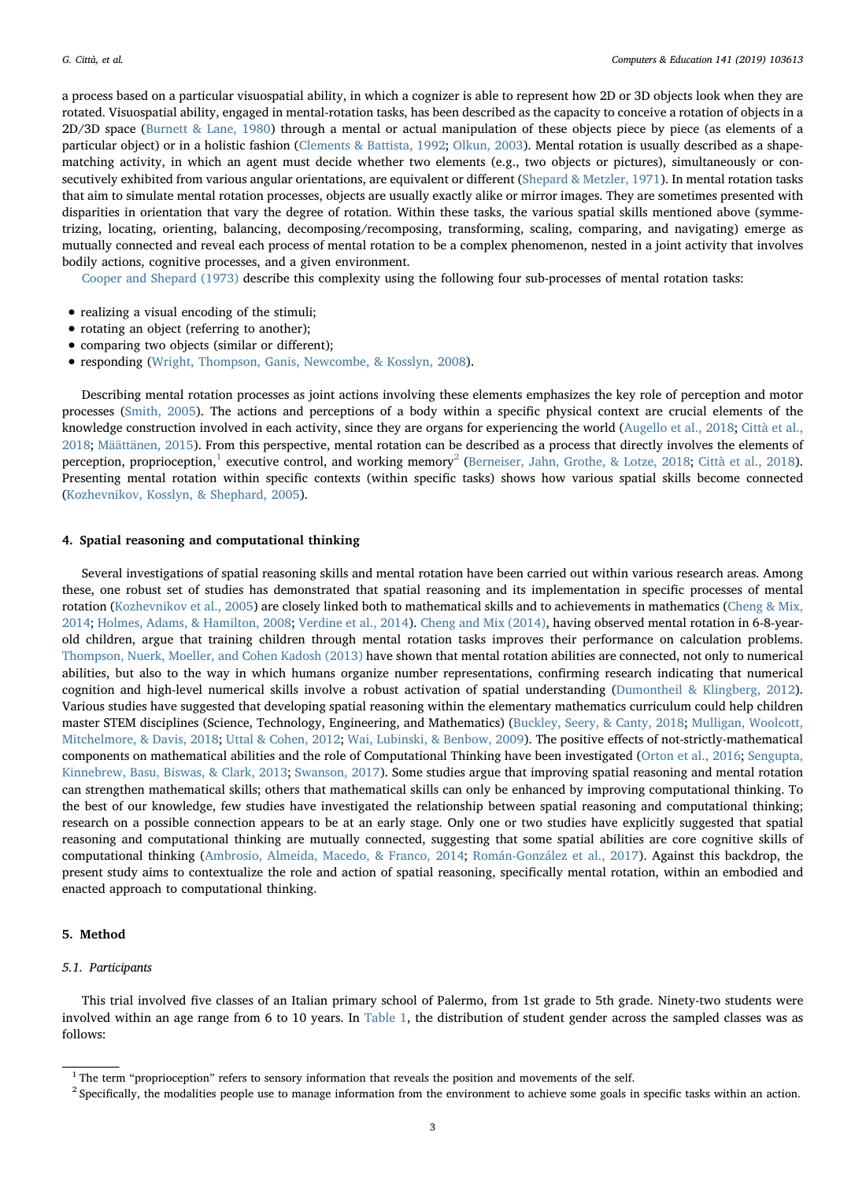a process based on a particular visuospatial ability, in which a cognizer is able to represent how 2D or 3D objects look when they are rotated. Visuospatial ability, engaged in mental-rotation tasks, has been described as the capacity to conceive a rotation of objects in a 2D/3D space ([Burnett & Lane, 1980](#page-9-20)) through a mental or actual manipulation of these objects piece by piece (as elements of a particular object) or in a holistic fashion [\(Clements & Battista, 1992](#page-9-21); [Olkun, 2003](#page-10-18)). Mental rotation is usually described as a shapematching activity, in which an agent must decide whether two elements (e.g., two objects or pictures), simultaneously or consecutively exhibited from various angular orientations, are equivalent or different ([Shepard & Metzler, 1971](#page-10-17)). In mental rotation tasks that aim to simulate mental rotation processes, objects are usually exactly alike or mirror images. They are sometimes presented with disparities in orientation that vary the degree of rotation. Within these tasks, the various spatial skills mentioned above (symmetrizing, locating, orienting, balancing, decomposing/recomposing, transforming, scaling, comparing, and navigating) emerge as mutually connected and reveal each process of mental rotation to be a complex phenomenon, nested in a joint activity that involves bodily actions, cognitive processes, and a given environment.

[Cooper and Shepard \(1973\)](#page-9-22) describe this complexity using the following four sub-processes of mental rotation tasks:

- realizing a visual encoding of the stimuli;
- rotating an object (referring to another);
- comparing two objects (similar or different);
- responding ([Wright, Thompson, Ganis, Newcombe, & Kosslyn, 2008](#page-10-19)).

Describing mental rotation processes as joint actions involving these elements emphasizes the key role of perception and motor processes ([Smith, 2005](#page-10-20)). The actions and perceptions of a body within a specific physical context are crucial elements of the knowledge construction involved in each activity, since they are organs for experiencing the world ([Augello et al., 2018;](#page-9-18) [Città et al.,](#page-9-23) [2018;](#page-9-23) [Määttänen, 2015\)](#page-10-21). From this perspective, mental rotation can be described as a process that directly involves the elements of perception, proprioception,<sup>[1](#page-2-0)</sup> executive control, and working memory<sup>[2](#page-2-1)</sup> ([Berneiser, Jahn, Grothe, & Lotze, 2018](#page-9-24); [Città et al., 2018\)](#page-9-23). Presenting mental rotation within specific contexts (within specific tasks) shows how various spatial skills become connected ([Kozhevnikov, Kosslyn, & Shephard, 2005\)](#page-9-25).

#### 4. Spatial reasoning and computational thinking

Several investigations of spatial reasoning skills and mental rotation have been carried out within various research areas. Among these, one robust set of studies has demonstrated that spatial reasoning and its implementation in specific processes of mental rotation [\(Kozhevnikov et al., 2005](#page-9-25)) are closely linked both to mathematical skills and to achievements in mathematics ([Cheng & Mix,](#page-9-26) [2014;](#page-9-26) [Holmes, Adams, & Hamilton, 2008](#page-9-27); [Verdine et al., 2014](#page-10-22)). [Cheng and Mix \(2014\)](#page-9-26), having observed mental rotation in 6-8-yearold children, argue that training children through mental rotation tasks improves their performance on calculation problems. [Thompson, Nuerk, Moeller, and Cohen Kadosh \(2013\)](#page-10-23) have shown that mental rotation abilities are connected, not only to numerical abilities, but also to the way in which humans organize number representations, confirming research indicating that numerical cognition and high-level numerical skills involve a robust activation of spatial understanding ([Dumontheil & Klingberg, 2012\)](#page-9-28). Various studies have suggested that developing spatial reasoning within the elementary mathematics curriculum could help children master STEM disciplines (Science, Technology, Engineering, and Mathematics) ([Buckley, Seery, & Canty, 2018](#page-9-29); [Mulligan, Woolcott,](#page-10-24) [Mitchelmore, & Davis, 2018;](#page-10-24) [Uttal & Cohen, 2012](#page-10-13); [Wai, Lubinski, & Benbow, 2009\)](#page-10-25). The positive effects of not-strictly-mathematical components on mathematical abilities and the role of Computational Thinking have been investigated [\(Orton et al., 2016](#page-10-26); [Sengupta,](#page-10-27) [Kinnebrew, Basu, Biswas, & Clark, 2013;](#page-10-27) [Swanson, 2017](#page-10-28)). Some studies argue that improving spatial reasoning and mental rotation can strengthen mathematical skills; others that mathematical skills can only be enhanced by improving computational thinking. To the best of our knowledge, few studies have investigated the relationship between spatial reasoning and computational thinking; research on a possible connection appears to be at an early stage. Only one or two studies have explicitly suggested that spatial reasoning and computational thinking are mutually connected, suggesting that some spatial abilities are core cognitive skills of computational thinking ([Ambrosio, Almeida, Macedo, & Franco, 2014;](#page-9-30) [Román-González et al., 2017\)](#page-10-11). Against this backdrop, the present study aims to contextualize the role and action of spatial reasoning, specifically mental rotation, within an embodied and enacted approach to computational thinking.

## 5. Method

## 5.1. Participants

This trial involved five classes of an Italian primary school of Palermo, from 1st grade to 5th grade. Ninety-two students were involved within an age range from 6 to 10 years. In [Table 1](#page-3-0), the distribution of student gender across the sampled classes was as follows:

<span id="page-2-0"></span><sup>&</sup>lt;sup>1</sup> The term "proprioception" refers to sensory information that reveals the position and movements of the self.

<span id="page-2-1"></span><sup>&</sup>lt;sup>2</sup> Specifically, the modalities people use to manage information from the environment to achieve some goals in specific tasks within an action.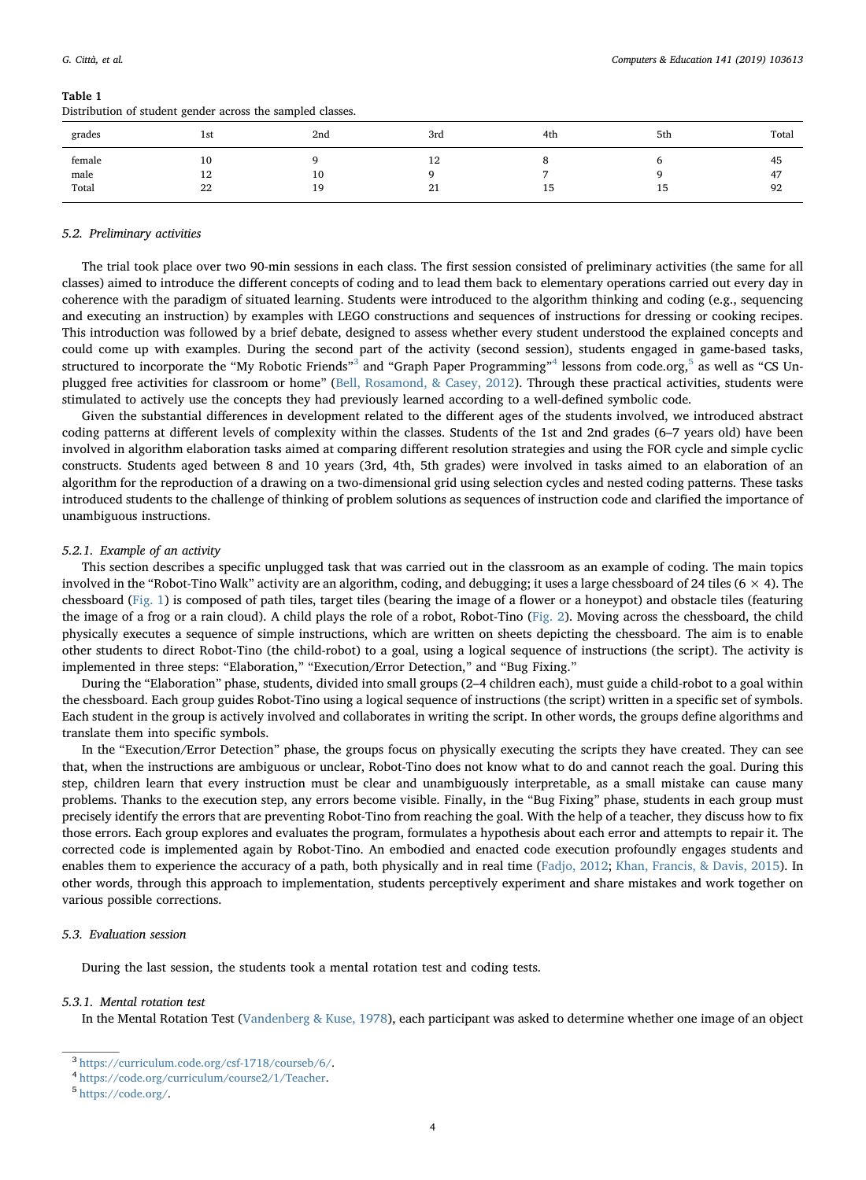#### <span id="page-3-0"></span>Table 1

Distribution of student gender across the sampled classes.

| grades                  | 1st            | 2nd      | 3rd                | 4th | 5th | Total          |
|-------------------------|----------------|----------|--------------------|-----|-----|----------------|
| female<br>male<br>Total | 10<br>12<br>22 | 10<br>19 | 12<br>$\sim$<br>41 | 15  | 15  | 45<br>47<br>92 |

#### 5.2. Preliminary activities

The trial took place over two 90-min sessions in each class. The first session consisted of preliminary activities (the same for all classes) aimed to introduce the different concepts of coding and to lead them back to elementary operations carried out every day in coherence with the paradigm of situated learning. Students were introduced to the algorithm thinking and coding (e.g., sequencing and executing an instruction) by examples with LEGO constructions and sequences of instructions for dressing or cooking recipes. This introduction was followed by a brief debate, designed to assess whether every student understood the explained concepts and could come up with examples. During the second part of the activity (second session), students engaged in game-based tasks, structured to incorporate the "My Robotic Friends"<sup>[3](#page-3-1)</sup> and "Graph Paper Programming"<sup>[4](#page-3-2)</sup> lessons from code.org, <sup>[5](#page-3-3)</sup> as well as "CS Unplugged free activities for classroom or home" [\(Bell, Rosamond, & Casey, 2012](#page-9-31)). Through these practical activities, students were stimulated to actively use the concepts they had previously learned according to a well-defined symbolic code.

Given the substantial differences in development related to the different ages of the students involved, we introduced abstract coding patterns at different levels of complexity within the classes. Students of the 1st and 2nd grades (6–7 years old) have been involved in algorithm elaboration tasks aimed at comparing different resolution strategies and using the FOR cycle and simple cyclic constructs. Students aged between 8 and 10 years (3rd, 4th, 5th grades) were involved in tasks aimed to an elaboration of an algorithm for the reproduction of a drawing on a two-dimensional grid using selection cycles and nested coding patterns. These tasks introduced students to the challenge of thinking of problem solutions as sequences of instruction code and clarified the importance of unambiguous instructions.

#### <span id="page-3-4"></span>5.2.1. Example of an activity

This section describes a specific unplugged task that was carried out in the classroom as an example of coding. The main topics involved in the "Robot-Tino Walk" activity are an algorithm, coding, and debugging; it uses a large chessboard of 24 tiles (6 × 4). The chessboard [\(Fig. 1](#page-4-0)) is composed of path tiles, target tiles (bearing the image of a flower or a honeypot) and obstacle tiles (featuring the image of a frog or a rain cloud). A child plays the role of a robot, Robot-Tino ([Fig. 2](#page-4-1)). Moving across the chessboard, the child physically executes a sequence of simple instructions, which are written on sheets depicting the chessboard. The aim is to enable other students to direct Robot-Tino (the child-robot) to a goal, using a logical sequence of instructions (the script). The activity is implemented in three steps: "Elaboration," "Execution/Error Detection," and "Bug Fixing."

During the "Elaboration" phase, students, divided into small groups (2–4 children each), must guide a child-robot to a goal within the chessboard. Each group guides Robot-Tino using a logical sequence of instructions (the script) written in a specific set of symbols. Each student in the group is actively involved and collaborates in writing the script. In other words, the groups define algorithms and translate them into specific symbols.

In the "Execution/Error Detection" phase, the groups focus on physically executing the scripts they have created. They can see that, when the instructions are ambiguous or unclear, Robot-Tino does not know what to do and cannot reach the goal. During this step, children learn that every instruction must be clear and unambiguously interpretable, as a small mistake can cause many problems. Thanks to the execution step, any errors become visible. Finally, in the "Bug Fixing" phase, students in each group must precisely identify the errors that are preventing Robot-Tino from reaching the goal. With the help of a teacher, they discuss how to fix those errors. Each group explores and evaluates the program, formulates a hypothesis about each error and attempts to repair it. The corrected code is implemented again by Robot-Tino. An embodied and enacted code execution profoundly engages students and enables them to experience the accuracy of a path, both physically and in real time [\(Fadjo, 2012;](#page-9-32) [Khan, Francis, & Davis, 2015](#page-9-33)). In other words, through this approach to implementation, students perceptively experiment and share mistakes and work together on various possible corrections.

## 5.3. Evaluation session

During the last session, the students took a mental rotation test and coding tests.

#### 5.3.1. Mental rotation test

In the Mental Rotation Test (Vandenberg [& Kuse, 1978\)](#page-10-29), each participant was asked to determine whether one image of an object

<span id="page-3-1"></span><sup>3</sup> [https://curriculum.code.org/csf-1718/courseb/6/.](https://curriculum.code.org/csf-1718/courseb/6/)

<span id="page-3-2"></span><sup>4</sup> [https://code.org/curriculum/course2/1/Teacher.](https://code.org/curriculum/course2/1/Teacher)

<span id="page-3-3"></span><sup>5</sup> [https://code.org/.](https://code.org/)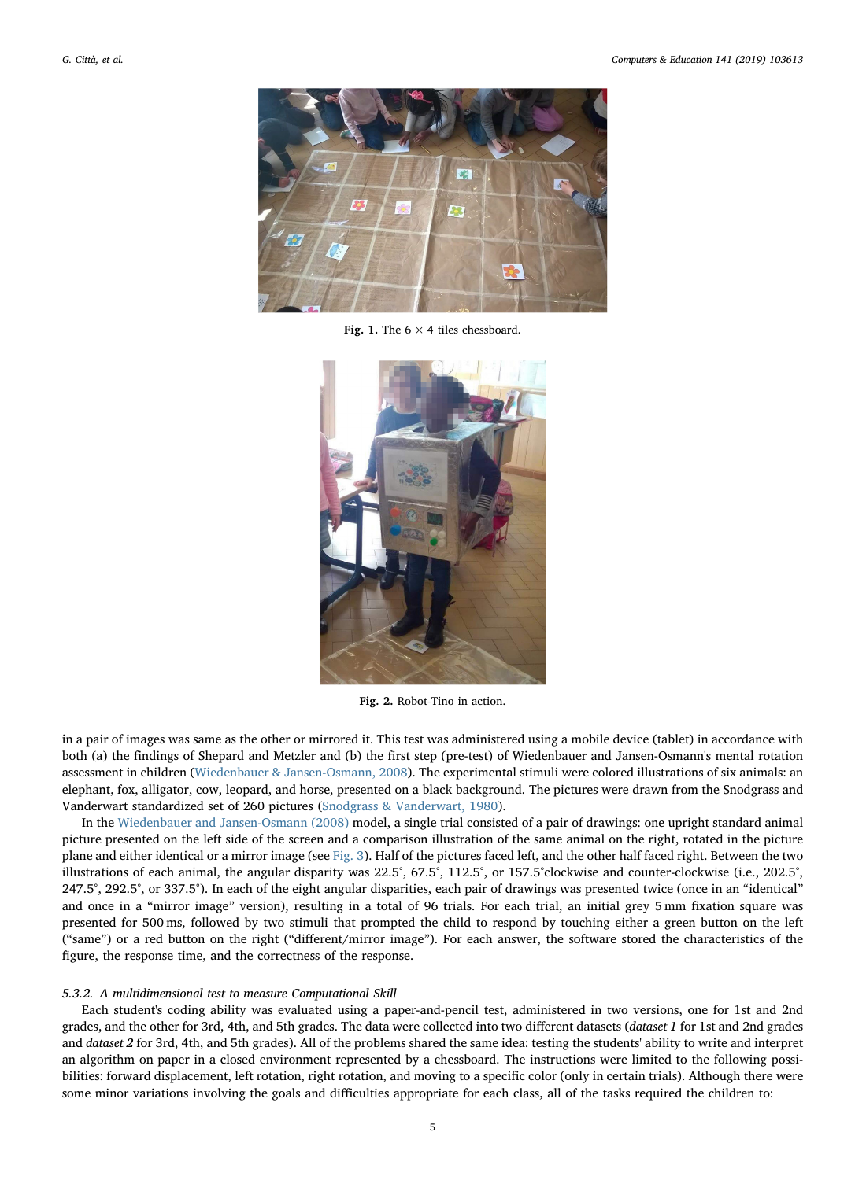<span id="page-4-0"></span>

Fig. 1. The  $6 \times 4$  tiles chessboard.

<span id="page-4-1"></span>

Fig. 2. Robot-Tino in action.

in a pair of images was same as the other or mirrored it. This test was administered using a mobile device (tablet) in accordance with both (a) the findings of Shepard and Metzler and (b) the first step (pre-test) of Wiedenbauer and Jansen-Osmann's mental rotation assessment in children ([Wiedenbauer & Jansen-Osmann, 2008](#page-10-30)). The experimental stimuli were colored illustrations of six animals: an elephant, fox, alligator, cow, leopard, and horse, presented on a black background. The pictures were drawn from the Snodgrass and Vanderwart standardized set of 260 pictures ([Snodgrass & Vanderwart, 1980](#page-10-31)).

In the [Wiedenbauer and Jansen-Osmann \(2008\)](#page-10-30) model, a single trial consisted of a pair of drawings: one upright standard animal picture presented on the left side of the screen and a comparison illustration of the same animal on the right, rotated in the picture plane and either identical or a mirror image (see [Fig. 3\)](#page-5-0). Half of the pictures faced left, and the other half faced right. Between the two illustrations of each animal, the angular disparity was 22.5°, 67.5°, 112.5°, or 157.5°clockwise and counter-clockwise (i.e., 202.5°, 247.5°, 292.5°, or 337.5°). In each of the eight angular disparities, each pair of drawings was presented twice (once in an "identical" and once in a "mirror image" version), resulting in a total of 96 trials. For each trial, an initial grey 5 mm fixation square was presented for 500 ms, followed by two stimuli that prompted the child to respond by touching either a green button on the left ("same") or a red button on the right ("different/mirror image"). For each answer, the software stored the characteristics of the figure, the response time, and the correctness of the response.

### 5.3.2. A multidimensional test to measure Computational Skill

Each student's coding ability was evaluated using a paper-and-pencil test, administered in two versions, one for 1st and 2nd grades, and the other for 3rd, 4th, and 5th grades. The data were collected into two different datasets (dataset 1 for 1st and 2nd grades and dataset 2 for 3rd, 4th, and 5th grades). All of the problems shared the same idea: testing the students' ability to write and interpret an algorithm on paper in a closed environment represented by a chessboard. The instructions were limited to the following possibilities: forward displacement, left rotation, right rotation, and moving to a specific color (only in certain trials). Although there were some minor variations involving the goals and difficulties appropriate for each class, all of the tasks required the children to: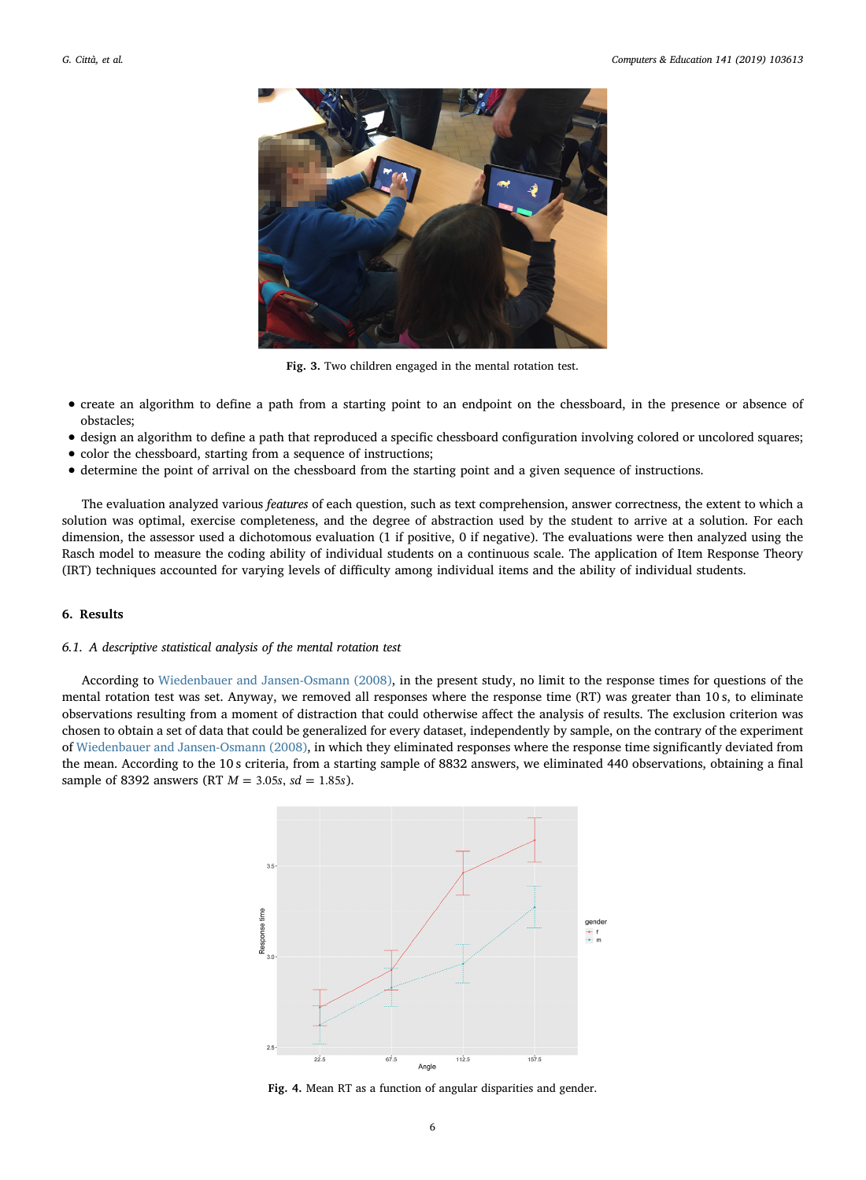<span id="page-5-0"></span>

Fig. 3. Two children engaged in the mental rotation test.

- create an algorithm to define a path from a starting point to an endpoint on the chessboard, in the presence or absence of obstacles;
- design an algorithm to define a path that reproduced a specific chessboard configuration involving colored or uncolored squares;
- color the chessboard, starting from a sequence of instructions;
- determine the point of arrival on the chessboard from the starting point and a given sequence of instructions.

The evaluation analyzed various features of each question, such as text comprehension, answer correctness, the extent to which a solution was optimal, exercise completeness, and the degree of abstraction used by the student to arrive at a solution. For each dimension, the assessor used a dichotomous evaluation (1 if positive, 0 if negative). The evaluations were then analyzed using the Rasch model to measure the coding ability of individual students on a continuous scale. The application of Item Response Theory (IRT) techniques accounted for varying levels of difficulty among individual items and the ability of individual students.

## 6. Results

## 6.1. A descriptive statistical analysis of the mental rotation test

<span id="page-5-1"></span>According to [Wiedenbauer and Jansen-Osmann \(2008\),](#page-10-30) in the present study, no limit to the response times for questions of the mental rotation test was set. Anyway, we removed all responses where the response time (RT) was greater than 10 s, to eliminate observations resulting from a moment of distraction that could otherwise affect the analysis of results. The exclusion criterion was chosen to obtain a set of data that could be generalized for every dataset, independently by sample, on the contrary of the experiment of [Wiedenbauer and Jansen-Osmann \(2008\)](#page-10-30), in which they eliminated responses where the response time significantly deviated from the mean. According to the 10 s criteria, from a starting sample of 8832 answers, we eliminated 440 observations, obtaining a final sample of 8392 answers (RT  $M = 3.05s$ ,  $sd = 1.85s$ ).



Fig. 4. Mean RT as a function of angular disparities and gender.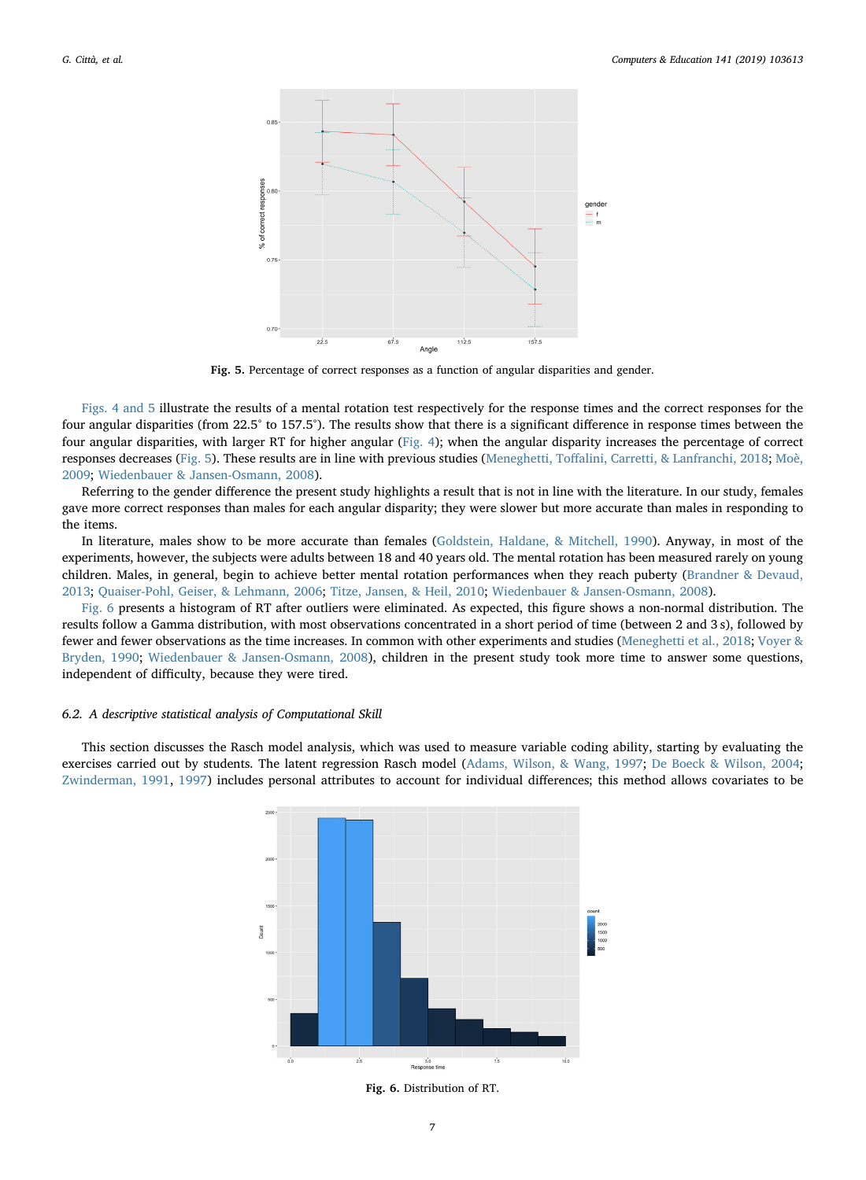<span id="page-6-0"></span>

Fig. 5. Percentage of correct responses as a function of angular disparities and gender.

[Figs. 4 and 5](#page-5-1) illustrate the results of a mental rotation test respectively for the response times and the correct responses for the four angular disparities (from 22.5° to 157.5°). The results show that there is a significant difference in response times between the four angular disparities, with larger RT for higher angular [\(Fig. 4\)](#page-5-1); when the angular disparity increases the percentage of correct responses decreases [\(Fig. 5](#page-6-0)). These results are in line with previous studies (Meneghetti, Toff[alini, Carretti, & Lanfranchi, 2018](#page-10-32); [Moè,](#page-10-33) [2009;](#page-10-33) [Wiedenbauer & Jansen-Osmann, 2008\)](#page-10-30).

Referring to the gender difference the present study highlights a result that is not in line with the literature. In our study, females gave more correct responses than males for each angular disparity; they were slower but more accurate than males in responding to the items.

In literature, males show to be more accurate than females ([Goldstein, Haldane, & Mitchell, 1990](#page-9-34)). Anyway, in most of the experiments, however, the subjects were adults between 18 and 40 years old. The mental rotation has been measured rarely on young children. Males, in general, begin to achieve better mental rotation performances when they reach puberty [\(Brandner & Devaud,](#page-9-35) [2013;](#page-9-35) [Quaiser-Pohl, Geiser, & Lehmann, 2006;](#page-10-34) [Titze, Jansen, & Heil, 2010;](#page-10-35) [Wiedenbauer & Jansen-Osmann, 2008](#page-10-30)).

[Fig. 6](#page-6-1) presents a histogram of RT after outliers were eliminated. As expected, this figure shows a non-normal distribution. The results follow a Gamma distribution, with most observations concentrated in a short period of time (between 2 and 3 s), followed by fewer and fewer observations as the time increases. In common with other experiments and studies ([Meneghetti et al., 2018](#page-10-32); [Voyer &](#page-10-36) [Bryden, 1990;](#page-10-36) [Wiedenbauer & Jansen-Osmann, 2008\)](#page-10-30), children in the present study took more time to answer some questions, independent of difficulty, because they were tired.

## 6.2. A descriptive statistical analysis of Computational Skill

<span id="page-6-1"></span>This section discusses the Rasch model analysis, which was used to measure variable coding ability, starting by evaluating the exercises carried out by students. The latent regression Rasch model [\(Adams, Wilson, & Wang, 1997;](#page-9-36) [De Boeck & Wilson, 2004;](#page-9-37) [Zwinderman, 1991,](#page-10-37) [1997](#page-10-38)) includes personal attributes to account for individual differences; this method allows covariates to be



Fig. 6. Distribution of RT.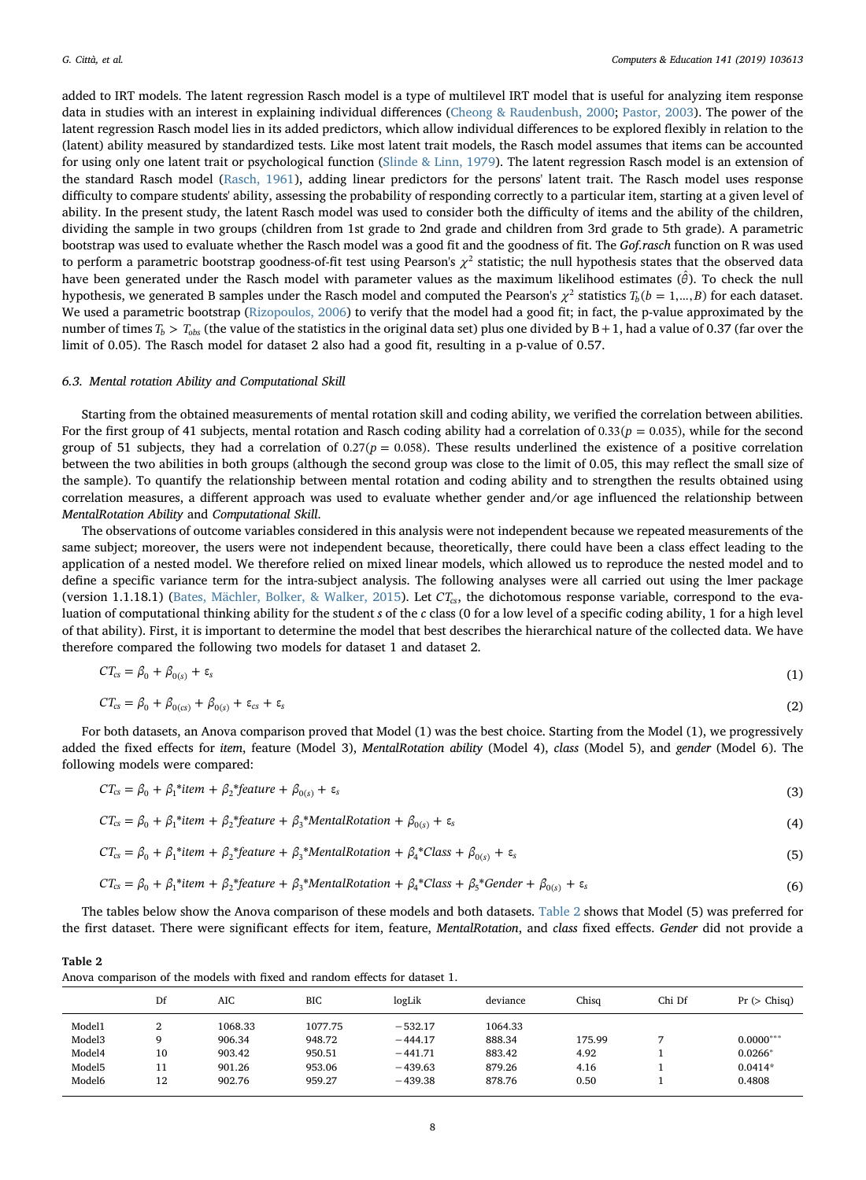added to IRT models. The latent regression Rasch model is a type of multilevel IRT model that is useful for analyzing item response data in studies with an interest in explaining individual differences [\(Cheong & Raudenbush, 2000;](#page-9-38) [Pastor, 2003](#page-10-39)). The power of the latent regression Rasch model lies in its added predictors, which allow individual differences to be explored flexibly in relation to the (latent) ability measured by standardized tests. Like most latent trait models, the Rasch model assumes that items can be accounted for using only one latent trait or psychological function ([Slinde & Linn, 1979\)](#page-10-40). The latent regression Rasch model is an extension of the standard Rasch model ([Rasch, 1961](#page-10-41)), adding linear predictors for the persons' latent trait. The Rasch model uses response difficulty to compare students' ability, assessing the probability of responding correctly to a particular item, starting at a given level of ability. In the present study, the latent Rasch model was used to consider both the difficulty of items and the ability of the children, dividing the sample in two groups (children from 1st grade to 2nd grade and children from 3rd grade to 5th grade). A parametric bootstrap was used to evaluate whether the Rasch model was a good fit and the goodness of fit. The Gof.rasch function on R was used to perform a parametric bootstrap goodness-of-fit test using Pearson's  $χ²$  statistic; the null hypothesis states that the observed data have been generated under the Rasch model with parameter values as the maximum likelihood estimates (*θ* ˆ). To check the null hypothesis, we generated B samples under the Rasch model and computed the Pearson's  $\chi^2$  statistics  $T_b(b = 1, ..., B)$  for each dataset. We used a parametric bootstrap ([Rizopoulos, 2006\)](#page-10-42) to verify that the model had a good fit; in fact, the p-value approximated by the number of times  $T_b > T_{obs}$  (the value of the statistics in the original data set) plus one divided by B + 1, had a value of 0.37 (far over the limit of 0.05). The Rasch model for dataset 2 also had a good fit, resulting in a p-value of 0.57.

#### 6.3. Mental rotation Ability and Computational Skill

Starting from the obtained measurements of mental rotation skill and coding ability, we verified the correlation between abilities. For the first group of 41 subjects, mental rotation and Rasch coding ability had a correlation of  $0.33(p = 0.035)$ , while for the second group of 51 subjects, they had a correlation of  $0.27(p = 0.058)$ . These results underlined the existence of a positive correlation between the two abilities in both groups (although the second group was close to the limit of 0.05, this may reflect the small size of the sample). To quantify the relationship between mental rotation and coding ability and to strengthen the results obtained using correlation measures, a different approach was used to evaluate whether gender and/or age influenced the relationship between MentalRotation Ability and Computational Skill.

The observations of outcome variables considered in this analysis were not independent because we repeated measurements of the same subject; moreover, the users were not independent because, theoretically, there could have been a class effect leading to the application of a nested model. We therefore relied on mixed linear models, which allowed us to reproduce the nested model and to define a specific variance term for the intra-subject analysis. The following analyses were all carried out using the lmer package (version 1.1.18.1) [\(Bates, Mächler, Bolker, & Walker, 2015](#page-9-39)). Let *CTcs*, the dichotomous response variable, correspond to the evaluation of computational thinking ability for the student s of the c class (0 for a low level of a specific coding ability, 1 for a high level of that ability). First, it is important to determine the model that best describes the hierarchical nature of the collected data. We have therefore compared the following two models for dataset 1 and dataset 2.

$$
CT_{cs} = \beta_0 + \beta_{0(s)} + \varepsilon_s \tag{1}
$$

$$
CT_{cs} = \beta_0 + \beta_{0(s)} + \beta_{0(s)} + \varepsilon_{cs} + \varepsilon_s \tag{2}
$$

For both datasets, an Anova comparison proved that Model (1) was the best choice. Starting from the Model (1), we progressively added the fixed effects for item, feature (Model 3), MentalRotation ability (Model 4), class (Model 5), and gender (Model 6). The following models were compared:

$$
CT_{cs} = \beta_0 + \beta_1*item + \beta_2*feature + \beta_{0(s)} + \varepsilon_s
$$
\n(3)

$$
CT_{cs} = \beta_0 + \beta_1*item + \beta_2* feature + \beta_3* Mentalkotation + \beta_{0(s)} + \varepsilon_s
$$
\n(4)

$$
CT_{cs} = \beta_0 + \beta_1^* item + \beta_2^* feature + \beta_3^* Mentalkotation + \beta_4^* Class + \beta_{0(s)} + \varepsilon_s
$$
\n(5)

$$
CT_{cs} = \beta_0 + \beta_1^* item + \beta_2^* feature + \beta_3^* Mentalkotation + \beta_4^* Class + \beta_5^* Gender + \beta_{0(s)} + \epsilon_s
$$
\n(6)

The tables below show the Anova comparison of these models and both datasets. [Table 2](#page-7-0) shows that Model (5) was preferred for the first dataset. There were significant effects for item, feature, MentalRotation, and class fixed effects. Gender did not provide a

<span id="page-7-0"></span>

|--|--|

| Anova comparison of the models with fixed and random effects for dataset 1. |  |  |  |  |  |
|-----------------------------------------------------------------------------|--|--|--|--|--|
|                                                                             |  |  |  |  |  |

|                    | Df | AIC     | <b>BIC</b> | logLik    | deviance | Chisq  | Chi Df | Pr (> Chisq) |
|--------------------|----|---------|------------|-----------|----------|--------|--------|--------------|
| Model1             | ∼  | 1068.33 | 1077.75    | $-532.17$ | 1064.33  |        |        |              |
| Model <sub>3</sub> | q  | 906.34  | 948.72     | $-444.17$ | 888.34   | 175.99 |        | $0.0000***$  |
| Model4             | 10 | 903.42  | 950.51     | $-441.71$ | 883.42   | 4.92   |        | $0.0266*$    |
| Model <sub>5</sub> | 11 | 901.26  | 953.06     | $-439.63$ | 879.26   | 4.16   |        | $0.0414*$    |
| Model6             | 12 | 902.76  | 959.27     | $-439.38$ | 878.76   | 0.50   |        | 0.4808       |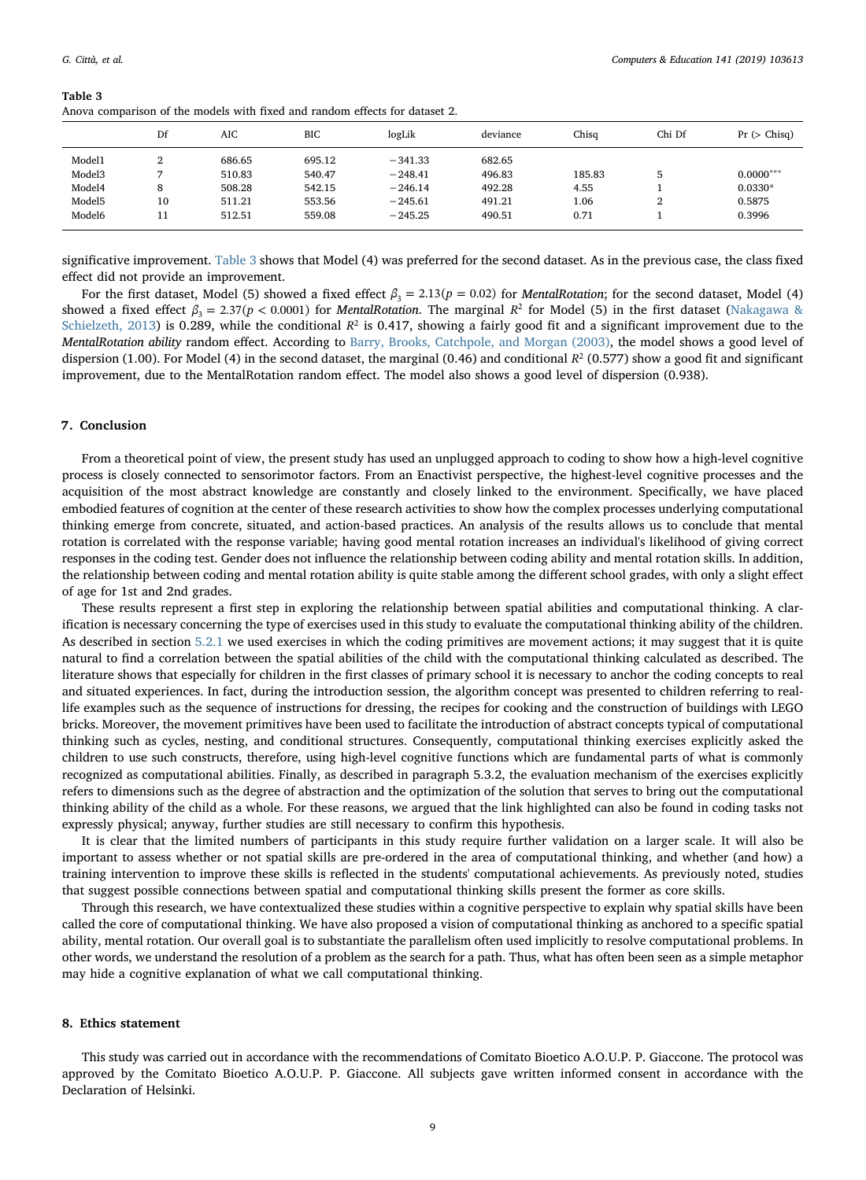<span id="page-8-0"></span>

| Table 3                                                                     |
|-----------------------------------------------------------------------------|
| Anova comparison of the models with fixed and random effects for dataset 2. |
|                                                                             |

|                    | Df     | AIC    | <b>BIC</b> | logLik    | deviance | Chisq  | Chi Df | Pr (> Chisq) |
|--------------------|--------|--------|------------|-----------|----------|--------|--------|--------------|
| Model1             | ົ<br>∠ | 686.65 | 695.12     | $-341.33$ | 682.65   |        |        |              |
| Model <sub>3</sub> |        | 510.83 | 540.47     | $-248.41$ | 496.83   | 185.83 |        | $0.0000***$  |
| Model4             | 8      | 508.28 | 542.15     | $-246.14$ | 492.28   | 4.55   |        | $0.0330*$    |
| Model <sub>5</sub> | 10     | 511.21 | 553.56     | $-245.61$ | 491.21   | 1.06   | റ<br>∠ | 0.5875       |
| Model6             | 11     | 512.51 | 559.08     | $-245.25$ | 490.51   | 0.71   |        | 0.3996       |

significative improvement. [Table 3](#page-8-0) shows that Model (4) was preferred for the second dataset. As in the previous case, the class fixed effect did not provide an improvement.

For the first dataset, Model (5) showed a fixed effect  $\beta_3 = 2.13(p = 0.02)$  for *MentalRotation*; for the second dataset, Model (4) showed a fixed effect  $β_2 = 2.37(p < 0.0001)$  for *MentalRotation*. The marginal  $R^2$  for Model (5) in the first dataset ([Nakagawa &](#page-10-43) [Schielzeth, 2013](#page-10-43)) is 0.289, while the conditional  $R^2$  is 0.417, showing a fairly good fit and a significant improvement due to the MentalRotation ability random effect. According to [Barry, Brooks, Catchpole, and Morgan \(2003\),](#page-9-40) the model shows a good level of dispersion (1.00). For Model (4) in the second dataset, the marginal (0.46) and conditional  $R^2$  (0.577) show a good fit and significant improvement, due to the MentalRotation random effect. The model also shows a good level of dispersion (0.938).

## 7. Conclusion

From a theoretical point of view, the present study has used an unplugged approach to coding to show how a high-level cognitive process is closely connected to sensorimotor factors. From an Enactivist perspective, the highest-level cognitive processes and the acquisition of the most abstract knowledge are constantly and closely linked to the environment. Specifically, we have placed embodied features of cognition at the center of these research activities to show how the complex processes underlying computational thinking emerge from concrete, situated, and action-based practices. An analysis of the results allows us to conclude that mental rotation is correlated with the response variable; having good mental rotation increases an individual's likelihood of giving correct responses in the coding test. Gender does not influence the relationship between coding ability and mental rotation skills. In addition, the relationship between coding and mental rotation ability is quite stable among the different school grades, with only a slight effect of age for 1st and 2nd grades.

These results represent a first step in exploring the relationship between spatial abilities and computational thinking. A clarification is necessary concerning the type of exercises used in this study to evaluate the computational thinking ability of the children. As described in section [5.2.1](#page-3-4) we used exercises in which the coding primitives are movement actions; it may suggest that it is quite natural to find a correlation between the spatial abilities of the child with the computational thinking calculated as described. The literature shows that especially for children in the first classes of primary school it is necessary to anchor the coding concepts to real and situated experiences. In fact, during the introduction session, the algorithm concept was presented to children referring to reallife examples such as the sequence of instructions for dressing, the recipes for cooking and the construction of buildings with LEGO bricks. Moreover, the movement primitives have been used to facilitate the introduction of abstract concepts typical of computational thinking such as cycles, nesting, and conditional structures. Consequently, computational thinking exercises explicitly asked the children to use such constructs, therefore, using high-level cognitive functions which are fundamental parts of what is commonly recognized as computational abilities. Finally, as described in paragraph 5.3.2, the evaluation mechanism of the exercises explicitly refers to dimensions such as the degree of abstraction and the optimization of the solution that serves to bring out the computational thinking ability of the child as a whole. For these reasons, we argued that the link highlighted can also be found in coding tasks not expressly physical; anyway, further studies are still necessary to confirm this hypothesis.

It is clear that the limited numbers of participants in this study require further validation on a larger scale. It will also be important to assess whether or not spatial skills are pre-ordered in the area of computational thinking, and whether (and how) a training intervention to improve these skills is reflected in the students' computational achievements. As previously noted, studies that suggest possible connections between spatial and computational thinking skills present the former as core skills.

Through this research, we have contextualized these studies within a cognitive perspective to explain why spatial skills have been called the core of computational thinking. We have also proposed a vision of computational thinking as anchored to a specific spatial ability, mental rotation. Our overall goal is to substantiate the parallelism often used implicitly to resolve computational problems. In other words, we understand the resolution of a problem as the search for a path. Thus, what has often been seen as a simple metaphor may hide a cognitive explanation of what we call computational thinking.

## 8. Ethics statement

This study was carried out in accordance with the recommendations of Comitato Bioetico A.O.U.P. P. Giaccone. The protocol was approved by the Comitato Bioetico A.O.U.P. P. Giaccone. All subjects gave written informed consent in accordance with the Declaration of Helsinki.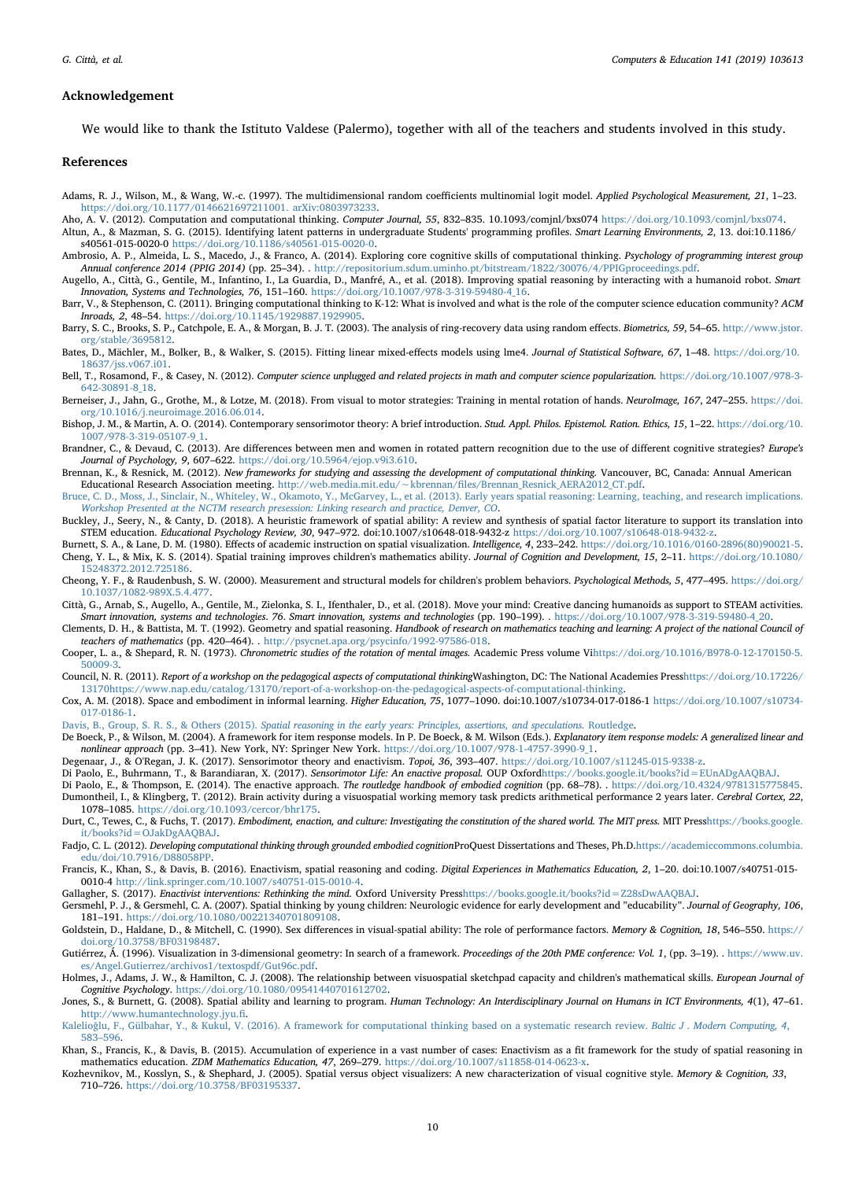## Acknowledgement

We would like to thank the Istituto Valdese (Palermo), together with all of the teachers and students involved in this study.

#### References

- <span id="page-9-36"></span>Adams, R. J., Wilson, M., & Wang, W.-c. (1997). The multidimensional random coefficients multinomial logit model. Applied Psychological Measurement, 21, 1–23. [https://doi.org/10.1177/0146621697211001. arXiv:0803973233.](https://doi.org/10.1177/0146621697211001. arXiv:0803973233)
- <span id="page-9-14"></span><span id="page-9-8"></span>Aho, A. V. (2012). Computation and computational thinking. Computer Journal, 55, 832-835. 10.1093/comjnl/bxs074 [https://doi.org/10.1093/comjnl/bxs074.](https://doi.org/10.1093/comjnl/bxs074) Altun, A., & Mazman, S. G. (2015). Identifying latent patterns in undergraduate Students' programming profiles. Smart Learning Environments, 2, 13. doi:10.1186/
- <span id="page-9-30"></span>s40561-015-0020-0 [https://doi.org/10.1186/s40561-015-0020-0.](https://doi.org/10.1186/s40561-015-0020-0) Ambrosio, A. P., Almeida, L. S., Macedo, J., & Franco, A. (2014). Exploring core cognitive skills of computational thinking. Psychology of programming interest group
- <span id="page-9-18"></span>Annual conference 2014 (PPIG 2014) (pp. 25–34). . <http://repositorium.sdum.uminho.pt/bitstream/1822/30076/4/PPIGproceedings.pdf>. Augello, A., Città, G., Gentile, M., Infantino, I., La Guardia, D., Manfré, A., et al. (2018). Improving spatial reasoning by interacting with a humanoid robot. Smart
- Innovation, Systems and Technologies, 76, 151–160. [https://doi.org/10.1007/978-3-319-59480-4\\_16.](https://doi.org/10.1007/978-3-319-59480-4_16) Barr, V., & Stephenson, C. (2011). Bringing computational thinking to K-12: What is involved and what is the role of the computer science education community? ACM
- <span id="page-9-10"></span>Inroads, 2, 48–54. [https://doi.org/10.1145/1929887.1929905.](https://doi.org/10.1145/1929887.1929905)
- <span id="page-9-40"></span>Barry, S. C., Brooks, S. P., Catchpole, E. A., & Morgan, B. J. T. (2003). The analysis of ring-recovery data using random effects. Biometrics, 59, 54–65. [http://www.jstor.](http://www.jstor.org/stable/3695812) [org/stable/3695812](http://www.jstor.org/stable/3695812).
- <span id="page-9-39"></span>Bates, D., Mächler, M., Bolker, B., & Walker, S. (2015). Fitting linear mixed-effects models using lme4. Journal of Statistical Software, 67, 1–48. [https://doi.org/10.](https://doi.org/10.18637/jss.v067.i01) [18637/jss.v067.i01.](https://doi.org/10.18637/jss.v067.i01)
- <span id="page-9-31"></span>Bell, T., Rosamond, F., & Casey, N. (2012). Computer science unplugged and related projects in math and computer science popularization. [https://doi.org/10.1007/978-3-](https://doi.org/10.1007/978-3-642-30891-8_18) [642-30891-8\\_18.](https://doi.org/10.1007/978-3-642-30891-8_18)
- <span id="page-9-24"></span>Berneiser, J., Jahn, G., Grothe, M., & Lotze, M. (2018). From visual to motor strategies: Training in mental rotation of hands. NeuroImage, 167, 247-255. [https://doi.](https://doi.org/10.1016/j.neuroimage.2016.06.014) [org/10.1016/j.neuroimage.2016.06.014.](https://doi.org/10.1016/j.neuroimage.2016.06.014)
- <span id="page-9-0"></span>Bishop, J. M., & Martin, A. O. (2014). Contemporary sensorimotor theory: A brief introduction. Stud. Appl. Philos. Epistemol. Ration. Ethics, 15, 1–22. [https://doi.org/10.](https://doi.org/10.1007/978-3-319-05107-9_1) [1007/978-3-319-05107-9\\_1.](https://doi.org/10.1007/978-3-319-05107-9_1)
- <span id="page-9-35"></span>Brandner, C., & Devaud, C. (2013). Are differences between men and women in rotated pattern recognition due to the use of different cognitive strategies? Europe's Journal of Psychology, 9, 607–622. [https://doi.org/10.5964/ejop.v9i3.610.](https://doi.org/10.5964/ejop.v9i3.610)
- <span id="page-9-11"></span>Brennan, K., & Resnick, M. (2012). New frameworks for studying and assessing the development of computational thinking. Vancouver, BC, Canada: Annual American Educational Research Association meeting. http://web.media.mit.edu/∼kbrennan/fi[les/Brennan\\_Resnick\\_AERA2012\\_CT.pdf.](http://web.media.mit.edu/%7Ekbrennan/files/Brennan_Resnick_AERA2012_CT.pdf)
- <span id="page-9-19"></span>[Bruce, C. D., Moss, J., Sinclair, N., Whiteley, W., Okamoto, Y., McGarvey, L., et al. \(2013\). Early years spatial reasoning: Learning, teaching, and research implications.](http://refhub.elsevier.com/S0360-1315(19)30166-6/sref14)<br>Workshop Presented at the NCTM research presession
- <span id="page-9-29"></span>Buckley, J., Seery, N., & Canty, D. (2018). A heuristic framework of spatial ability: A review and synthesis of spatial factor literature to support its translation into STEM education. Educational Psychology Review, 30, 947–972. doi:10.1007/s10648-018-9432-z <https://doi.org/10.1007/s10648-018-9432-z>.
- <span id="page-9-26"></span><span id="page-9-20"></span>Burnett, S. A., & Lane, D. M. (1980). Effects of academic instruction on spatial visualization. Intelligence, 4, 233–242. [https://doi.org/10.1016/0160-2896\(80\)90021-5](https://doi.org/10.1016/0160-2896(80)90021-5). Cheng, Y. L., & Mix, K. S. (2014). Spatial training improves children's mathematics ability. Journal of Cognition and Development, 15, 2–11. [https://doi.org/10.1080/](https://doi.org/10.1080/15248372.2012.725186) [15248372.2012.725186](https://doi.org/10.1080/15248372.2012.725186).
- <span id="page-9-38"></span>Cheong, Y. F., & Raudenbush, S. W. (2000). Measurement and structural models for children's problem behaviors. Psychological Methods, 5, 477–495. [https://doi.org/](https://doi.org/10.1037/1082-989X.5.4.477) [10.1037/1082-989X.5.4.477.](https://doi.org/10.1037/1082-989X.5.4.477)
- <span id="page-9-23"></span>Città, G., Arnab, S., Augello, A., Gentile, M., Zielonka, S. I., Ifenthaler, D., et al. (2018). Move your mind: Creative dancing humanoids as support to STEAM activities. Smart innovation, systems and technologies. 76. Smart innovation, systems and technologies (pp. 190–199). . [https://doi.org/10.1007/978-3-319-59480-4\\_20.](https://doi.org/10.1007/978-3-319-59480-4_20)
- <span id="page-9-21"></span>Clements, D. H., & Battista, M. T. (1992). Geometry and spatial reasoning. Handbook of research on mathematics teaching and learning: A project of the national Council of teachers of mathematics (pp. 420–464). . [http://psycnet.apa.org/psycinfo/1992-97586-018.](http://psycnet.apa.org/psycinfo/1992-97586-018)
- <span id="page-9-22"></span>Cooper, L. a., & Shepard, R. N. (1973). Chronometric studies of the rotation of mental images. Academic Press volume Vi[https://doi.org/10.1016/B978-0-12-170150-5.](https://doi.org/10.1016/B978-0-12-170150-5.50009-3) [50009-3](https://doi.org/10.1016/B978-0-12-170150-5.50009-3).
- <span id="page-9-12"></span>Council, N. R. (2011). Report of a workshop on the pedagogical aspects of computational thinkingWashington, DC: The National Academies Press[https://doi.org/10.17226/](https://doi.org/10.17226/13170) [13170https://www.nap.edu/catalog/13170/report-of-a-workshop-on-the-pedagogical-aspects-of-computational-thinking.](https://doi.org/10.17226/13170)
- <span id="page-9-6"></span>Cox, A. M. (2018). Space and embodiment in informal learning. Higher Education, 75, 1077–1090. doi:10.1007/s10734-017-0186-1 [https://doi.org/10.1007/s10734-](https://doi.org/10.1007/s10734-017-0186-1) [017-0186-1.](https://doi.org/10.1007/s10734-017-0186-1)
- <span id="page-9-15"></span>Davis, B., Group, S. R. S., & Others (2015). [Spatial reasoning in the early years: Principles, assertions, and speculations.](http://refhub.elsevier.com/S0360-1315(19)30166-6/sref24) Routledge.
- <span id="page-9-37"></span>De Boeck, P., & Wilson, M. (2004). A framework for item response models. In P. De Boeck, & M. Wilson (Eds.). Explanatory item response models: A generalized linear and nonlinear approach (pp. 3–41). New York, NY: Springer New York. [https://doi.org/10.1007/978-1-4757-3990-9\\_1.](https://doi.org/10.1007/978-1-4757-3990-9_1)
- <span id="page-9-1"></span>Degenaar, J., & O'Regan, J. K. (2017). Sensorimotor theory and enactivism. Topoi, 36, 393–407. [https://doi.org/10.1007/s11245-015-9338-z.](https://doi.org/10.1007/s11245-015-9338-z)
- <span id="page-9-4"></span>Di Paolo, E., Buhrmann, T., & Barandiaran, X. (2017). Sensorimotor Life: An enactive proposal. OUP Oxford[https://books.google.it/books?id=EUnADgAAQBAJ.](https://books.google.it/books?id=EUnADgAAQBAJ)
- <span id="page-9-28"></span><span id="page-9-2"></span>Di Paolo, E., & Thompson, E. (2014). The enactive approach. The routledge handbook of embodied cognition (pp. 68–78). . <https://doi.org/10.4324/9781315775845>. Dumontheil, I., & Klingberg, T. (2012). Brain activity during a visuospatial working memory task predicts arithmetical performance 2 years later. Cerebral Cortex, 22, 1078–1085. [https://doi.org/10.1093/cercor/bhr175.](https://doi.org/10.1093/cercor/bhr175)
- <span id="page-9-5"></span>Durt, C., Tewes, C., & Fuchs, T. (2017). Embodiment, enaction, and culture: Investigating the constitution of the shared world. The MIT press. MIT Pres[shttps://books.google.](https://books.google.it/books?id=OJakDgAAQBAJ) [it/books?id=OJakDgAAQBAJ](https://books.google.it/books?id=OJakDgAAQBAJ).
- <span id="page-9-32"></span>Fadjo, C. L. (2012). Developing computational thinking through grounded embodied cognitionProQuest Dissertations and Theses, Ph.D[.https://academiccommons.columbia.](https://academiccommons.columbia.edu/doi/10.7916/D88058PP) [edu/doi/10.7916/D88058PP.](https://academiccommons.columbia.edu/doi/10.7916/D88058PP)
- <span id="page-9-7"></span>Francis, K., Khan, S., & Davis, B. (2016). Enactivism, spatial reasoning and coding. Digital Experiences in Mathematics Education, 2, 1–20. doi:10.1007/s40751-015- 0010-4 [http://link.springer.com/10.1007/s40751-015-0010-4.](http://link.springer.com/10.1007/s40751-015-0010-4)
- <span id="page-9-3"></span>Gallagher, S. (2017). Enactivist interventions: Rethinking the mind. Oxford University Pres[shttps://books.google.it/books?id=Z28sDwAAQBAJ.](https://books.google.it/books?id=Z28sDwAAQBAJ)
- <span id="page-9-17"></span>Gersmehl, P. J., & Gersmehl, C. A. (2007). Spatial thinking by young children: Neurologic evidence for early development and "educability". Journal of Geography, 106, 181–191. <https://doi.org/10.1080/00221340701809108>.
- <span id="page-9-34"></span>Goldstein, D., Haldane, D., & Mitchell, C. (1990). Sex differences in visual-spatial ability: The role of performance factors. Memory & Cognition, 18, 546–550. [https://](https://doi.org/10.3758/BF03198487) [doi.org/10.3758/BF03198487.](https://doi.org/10.3758/BF03198487)
- <span id="page-9-16"></span>Gutiérrez, Á. (1996). Visualization in 3-dimensional geometry: In search of a framework. Proceedings of the 20th PME conference: Vol. 1, (pp. 3-19). . [https://www.uv.](https://www.uv.es/Angel.Gutierrez/archivos1/textospdf/Gut96c.pdf) [es/Angel.Gutierrez/archivos1/textospdf/Gut96c.pdf](https://www.uv.es/Angel.Gutierrez/archivos1/textospdf/Gut96c.pdf).
- <span id="page-9-27"></span>Holmes, J., Adams, J. W., & Hamilton, C. J. (2008). The relationship between visuospatial sketchpad capacity and children's mathematical skills. European Journal of Cognitive Psychology. [https://doi.org/10.1080/09541440701612702.](https://doi.org/10.1080/09541440701612702)
- <span id="page-9-9"></span>Jones, S., & Burnett, G. (2008). Spatial ability and learning to program. Human Technology: An Interdisciplinary Journal on Humans in ICT Environments, 4(1), 47-61. [http://www.humantechnology.jyu.](http://www.humantechnology.jyu.fi)fi.
- <span id="page-9-13"></span>Kalelioğ[lu, F., Gülbahar, Y., & Kukul, V. \(2016\). A framework for computational thinking based on a systematic research review.](http://refhub.elsevier.com/S0360-1315(19)30166-6/sref39) Baltic J. Modern Computing, 4, 583–[596.](http://refhub.elsevier.com/S0360-1315(19)30166-6/sref39)
- <span id="page-9-33"></span>Khan, S., Francis, K., & Davis, B. (2015). Accumulation of experience in a vast number of cases: Enactivism as a fit framework for the study of spatial reasoning in mathematics education. ZDM Mathematics Education, 47, 269–279. [https://doi.org/10.1007/s11858-014-0623-x.](https://doi.org/10.1007/s11858-014-0623-x)
- <span id="page-9-25"></span>Kozhevnikov, M., Kosslyn, S., & Shephard, J. (2005). Spatial versus object visualizers: A new characterization of visual cognitive style. Memory & Cognition, 33, 710–726. <https://doi.org/10.3758/BF03195337>.